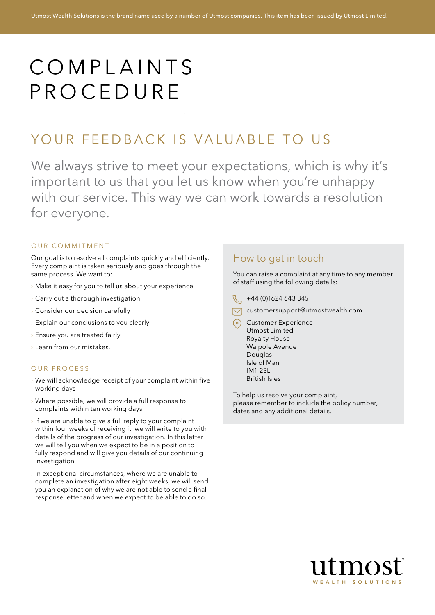# COMPLAINTS **PROCEDURE**

## YOUR FEEDBACK IS VALUABLE TO US

We always strive to meet your expectations, which is why it's important to us that you let us know when you're unhappy with our service. This way we can work towards a resolution for everyone.

#### OUR COMMITMENT

Our goal is to resolve all complaints quickly and efficiently. Every complaint is taken seriously and goes through the same process. We want to:

- › Make it easy for you to tell us about your experience
- › Carry out a thorough investigation
- › Consider our decision carefully
- $\rightarrow$  Explain our conclusions to you clearly
- › Ensure you are treated fairly
- › Learn from our mistakes.

#### OUR PROCESS

- › We will acknowledge receipt of your complaint within five working days
- › Where possible, we will provide a full response to complaints within ten working days
- › If we are unable to give a full reply to your complaint within four weeks of receiving it, we will write to you with details of the progress of our investigation. In this letter we will tell you when we expect to be in a position to fully respond and will give you details of our continuing investigation
- › In exceptional circumstances, where we are unable to complete an investigation after eight weeks, we will send you an explanation of why we are not able to send a final response letter and when we expect to be able to do so.

#### How to get in touch

You can raise a complaint at any time to any member of staff using the following details:

- $\mathbb{Q}$  +44 (0)1624 643 345
- $\nabla$  customersupport@utmostwealth.com
- Customer Experience Utmost Limited Royalty House Walpole Avenue Douglas Isle of Man IM1 2SL British Isles

To help us resolve your complaint, please remember to include the policy number, dates and any additional details.